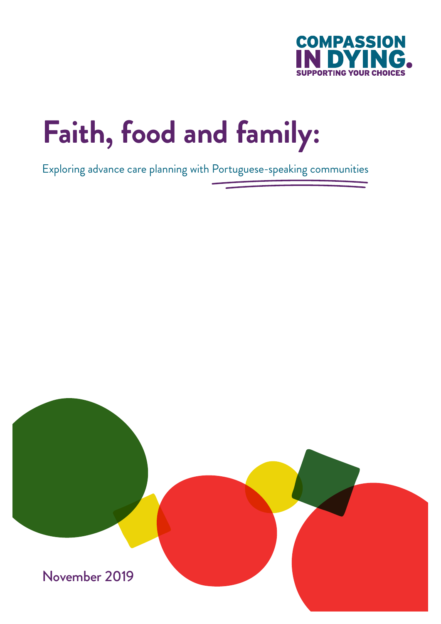

# **Faith, food and family:**

Exploring advance care planning with Portuguese-speaking communities

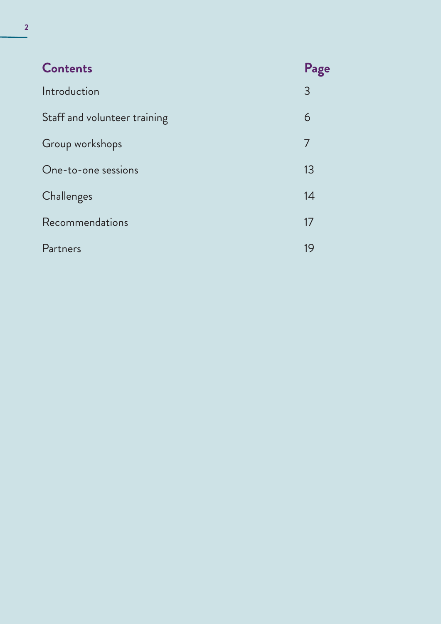| <b>Contents</b>              | Page |
|------------------------------|------|
| Introduction                 | 3    |
| Staff and volunteer training | 6    |
| Group workshops              | 7    |
| One-to-one sessions          | 13   |
| Challenges                   | 14   |
| Recommendations              | 17   |
| Partners                     | 19   |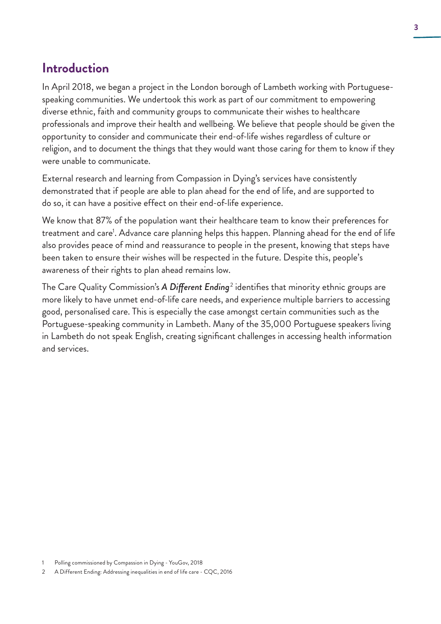# **Introduction**

In April 2018, we began a project in the London borough of Lambeth working with Portuguesespeaking communities. We undertook this work as part of our commitment to empowering diverse ethnic, faith and community groups to communicate their wishes to healthcare professionals and improve their health and wellbeing. We believe that people should be given the opportunity to consider and communicate their end-of-life wishes regardless of culture or religion, and to document the things that they would want those caring for them to know if they were unable to communicate.

External research and learning from Compassion in Dying's services have consistently demonstrated that if people are able to plan ahead for the end of life, and are supported to do so, it can have a positive effect on their end-of-life experience.

We know that 87% of the population want their healthcare team to know their preferences for treatment and care<sup>1</sup>. Advance care planning helps this happen. Planning ahead for the end of life also provides peace of mind and reassurance to people in the present, knowing that steps have been taken to ensure their wishes will be respected in the future. Despite this, people's awareness of their rights to plan ahead remains low.

The Care Quality Commission's **A Different Ending**<sup>2</sup> identifies that minority ethnic groups are more likely to have unmet end-of-life care needs, and experience multiple barriers to accessing good, personalised care. This is especially the case amongst certain communities such as the Portuguese-speaking community in Lambeth. Many of the 35,000 Portuguese speakers living in Lambeth do not speak English, creating significant challenges in accessing health information and services.

<sup>1</sup> Polling commissioned by Compassion in Dying - YouGov, 2018

<sup>2</sup> A Different Ending: Addressing inequalities in end of life care - CQC, 2016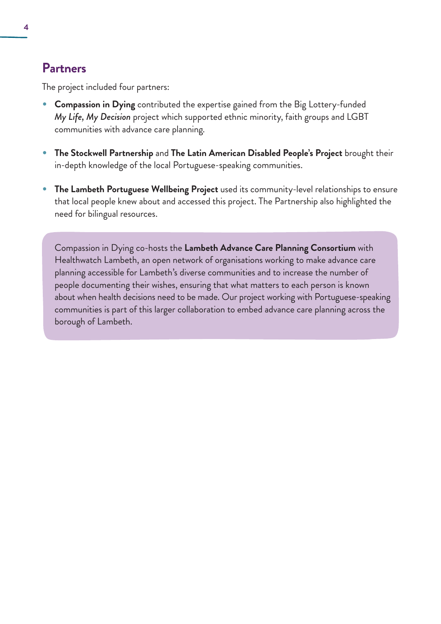### **Partners**

The project included four partners:

- **Compassion in Dying** contributed the expertise gained from the Big Lottery-funded *My Life, My Decision* project which supported ethnic minority, faith groups and LGBT communities with advance care planning.
- **The Stockwell Partnership** and **The Latin American Disabled People's Project** brought their in-depth knowledge of the local Portuguese-speaking communities.
- **The Lambeth Portuguese Wellbeing Project** used its community-level relationships to ensure that local people knew about and accessed this project. The Partnership also highlighted the need for bilingual resources.

Compassion in Dying co-hosts the **Lambeth Advance Care Planning Consortium** with Healthwatch Lambeth, an open network of organisations working to make advance care planning accessible for Lambeth's diverse communities and to increase the number of people documenting their wishes, ensuring that what matters to each person is known about when health decisions need to be made. Our project working with Portuguese-speaking communities is part of this larger collaboration to embed advance care planning across the borough of Lambeth.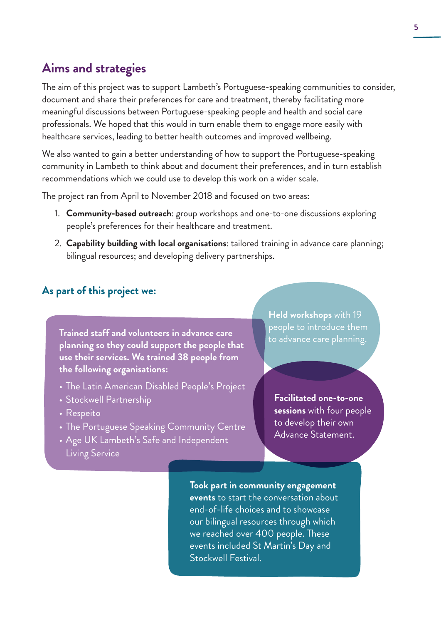# **Aims and strategies**

The aim of this project was to support Lambeth's Portuguese-speaking communities to consider, document and share their preferences for care and treatment, thereby facilitating more meaningful discussions between Portuguese-speaking people and health and social care professionals. We hoped that this would in turn enable them to engage more easily with healthcare services, leading to better health outcomes and improved wellbeing.

We also wanted to gain a better understanding of how to support the Portuguese-speaking community in Lambeth to think about and document their preferences, and in turn establish recommendations which we could use to develop this work on a wider scale.

The project ran from April to November 2018 and focused on two areas:

- 1. **Community-based outreach**: group workshops and one-to-one discussions exploring people's preferences for their healthcare and treatment.
- 2. **Capability building with local organisations**: tailored training in advance care planning; bilingual resources; and developing delivery partnerships.

#### **As part of this project we:**

**Trained staff and volunteers in advance care planning so they could support the people that use their services. We trained 38 people from the following organisations:**

- The Latin American Disabled People's Project
- Stockwell Partnership
- Respeito
- The Portuguese Speaking Community Centre
- Age UK Lambeth's Safe and Independent Living Service

**Held workshops** with 19 people to introduce them to advance care planning.

**Facilitated one-to-one sessions** with four people to develop their own Advance Statement.

**Took part in community engagement events** to start the conversation about end-of-life choices and to showcase our bilingual resources through which we reached over 400 people. These events included St Martin's Day and Stockwell Festival.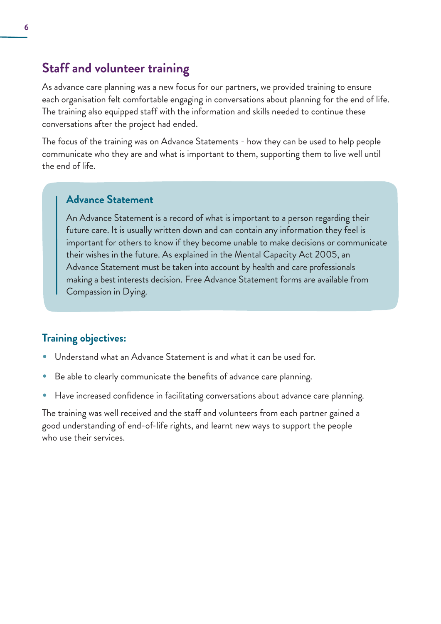## **Staff and volunteer training**

As advance care planning was a new focus for our partners, we provided training to ensure each organisation felt comfortable engaging in conversations about planning for the end of life. The training also equipped staff with the information and skills needed to continue these conversations after the project had ended.

The focus of the training was on Advance Statements - how they can be used to help people communicate who they are and what is important to them, supporting them to live well until the end of life.

#### **Advance Statement**

An Advance Statement is a record of what is important to a person regarding their future care. It is usually written down and can contain any information they feel is important for others to know if they become unable to make decisions or communicate their wishes in the future. As explained in the Mental Capacity Act 2005, an Advance Statement must be taken into account by health and care professionals making a best interests decision. Free Advance Statement forms are available from Compassion in Dying.

#### **Training objectives:**

- Understand what an Advance Statement is and what it can be used for.
- Be able to clearly communicate the benefits of advance care planning.
- Have increased confidence in facilitating conversations about advance care planning.

The training was well received and the staff and volunteers from each partner gained a good understanding of end-of-life rights, and learnt new ways to support the people who use their services.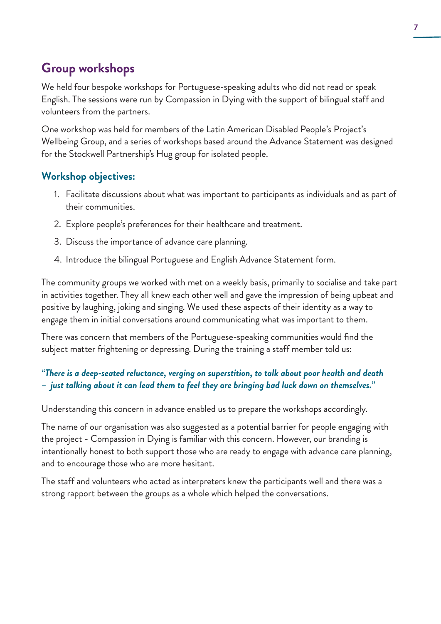# **Group workshops**

We held four bespoke workshops for Portuguese-speaking adults who did not read or speak English. The sessions were run by Compassion in Dying with the support of bilingual staff and volunteers from the partners.

One workshop was held for members of the Latin American Disabled People's Project's Wellbeing Group, and a series of workshops based around the Advance Statement was designed for the Stockwell Partnership's Hug group for isolated people.

#### **Workshop objectives:**

- 1. Facilitate discussions about what was important to participants as individuals and as part of their communities.
- 2. Explore people's preferences for their healthcare and treatment.
- 3. Discuss the importance of advance care planning.
- 4. Introduce the bilingual Portuguese and English Advance Statement form.

The community groups we worked with met on a weekly basis, primarily to socialise and take part in activities together. They all knew each other well and gave the impression of being upbeat and positive by laughing, joking and singing. We used these aspects of their identity as a way to engage them in initial conversations around communicating what was important to them.

There was concern that members of the Portuguese-speaking communities would find the subject matter frightening or depressing. During the training a staff member told us:

#### *"There is a deep-seated reluctance, verging on superstition, to talk about poor health and death – just talking about it can lead them to feel they are bringing bad luck down on themselves."*

Understanding this concern in advance enabled us to prepare the workshops accordingly.

The name of our organisation was also suggested as a potential barrier for people engaging with the project - Compassion in Dying is familiar with this concern. However, our branding is intentionally honest to both support those who are ready to engage with advance care planning, and to encourage those who are more hesitant.

The staff and volunteers who acted as interpreters knew the participants well and there was a strong rapport between the groups as a whole which helped the conversations.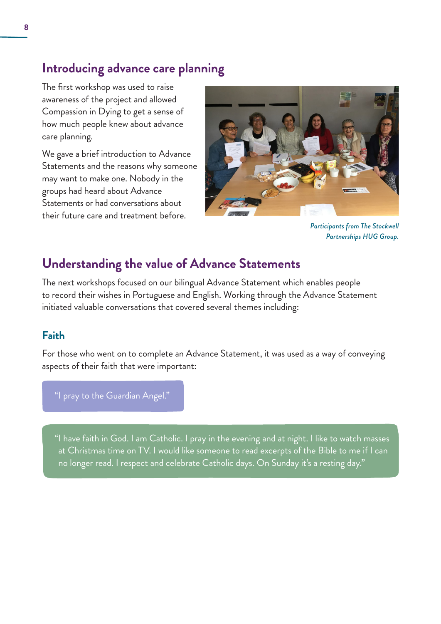# **Introducing advance care planning**

The first workshop was used to raise awareness of the project and allowed Compassion in Dying to get a sense of how much people knew about advance care planning.

We gave a brief introduction to Advance Statements and the reasons why someone may want to make one. Nobody in the groups had heard about Advance Statements or had conversations about their future care and treatment before.



*Participants from The Stockwell Partnerships HUG Group.*

# **Understanding the value of Advance Statements**

The next workshops focused on our bilingual Advance Statement which enables people to record their wishes in Portuguese and English. Working through the Advance Statement initiated valuable conversations that covered several themes including:

#### **Faith**

For those who went on to complete an Advance Statement, it was used as a way of conveying aspects of their faith that were important:

"I pray to the Guardian Angel."

"I have faith in God. I am Catholic. I pray in the evening and at night. I like to watch masses at Christmas time on TV. I would like someone to read excerpts of the Bible to me if I can no longer read. I respect and celebrate Catholic days. On Sunday it's a resting day."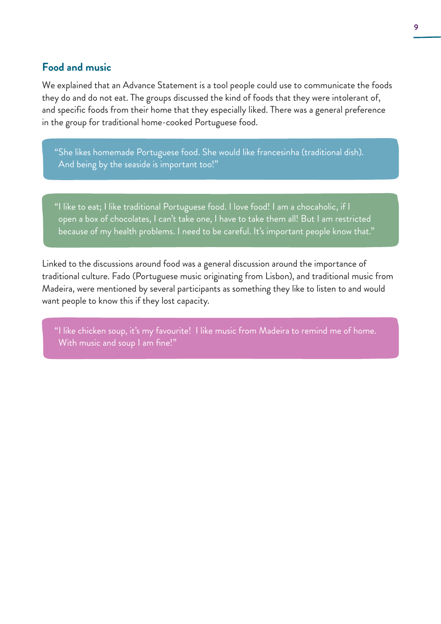#### **Food and music**

We explained that an Advance Statement is a tool people could use to communicate the foods they do and do not eat. The groups discussed the kind of foods that they were intolerant of, and specific foods from their home that they especially liked. There was a general preference in the group for traditional home-cooked Portuguese food.

"She likes homemade Portuguese food. She would like francesinha (traditional dish). And being by the seaside is important too!"

"I like to eat; I like traditional Portuguese food. I love food! I am a chocaholic, if I open a box of chocolates, I can't take one, I have to take them all! But I am restricted because of my health problems. I need to be careful. It's important people know that."

Linked to the discussions around food was a general discussion around the importance of traditional culture. Fado (Portuguese music originating from Lisbon), and traditional music from Madeira, were mentioned by several participants as something they like to listen to and would want people to know this if they lost capacity.

"I like chicken soup, it's my favourite! I like music from Madeira to remind me of home. With music and soup I am fine!"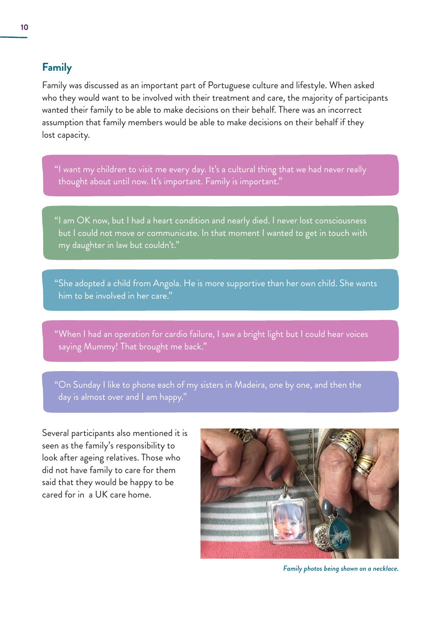#### **Family**

Family was discussed as an important part of Portuguese culture and lifestyle. When asked who they would want to be involved with their treatment and care, the majority of participants wanted their family to be able to make decisions on their behalf. There was an incorrect assumption that family members would be able to make decisions on their behalf if they lost capacity.

"I want my children to visit me every day. It's a cultural thing that we had never really thought about until now. It's important. Family is important."

"I am OK now, but I had a heart condition and nearly died. I never lost consciousness but I could not move or communicate. In that moment I wanted to get in touch with my daughter in law but couldn't."

"She adopted a child from Angola. He is more supportive than her own child. She wants him to be involved in her care."

"When I had an operation for cardio failure, I saw a bright light but I could hear voices saying Mummy! That brought me back."

"On Sunday I like to phone each of my sisters in Madeira, one by one, and then the day is almost over and I am happy."

Several participants also mentioned it is seen as the family's responsibility to look after ageing relatives. Those who did not have family to care for them said that they would be happy to be cared for in a UK care home.



*Family photos being shown on a necklace.*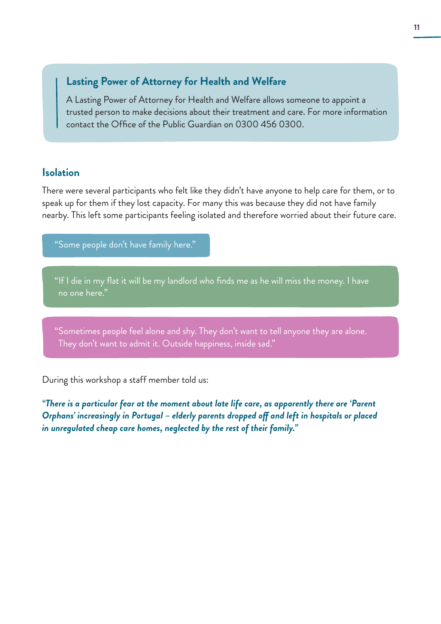#### **Lasting Power of Attorney for Health and Welfare**

A Lasting Power of Attorney for Health and Welfare allows someone to appoint a trusted person to make decisions about their treatment and care. For more information contact the Office of the Public Guardian on 0300 456 0300.

#### **Isolation**

There were several participants who felt like they didn't have anyone to help care for them, or to speak up for them if they lost capacity. For many this was because they did not have family nearby. This left some participants feeling isolated and therefore worried about their future care.

"Some people don't have family here."

"If I die in my flat it will be my landlord who finds me as he will miss the money. I have no one here."

"Sometimes people feel alone and shy. They don't want to tell anyone they are alone. They don't want to admit it. Outside happiness, inside sad."

During this workshop a staff member told us:

*"There is a particular fear at the moment about late life care, as apparently there are 'Parent Orphans' increasingly in Portugal – elderly parents dropped off and left in hospitals or placed in unregulated cheap care homes, neglected by the rest of their family."*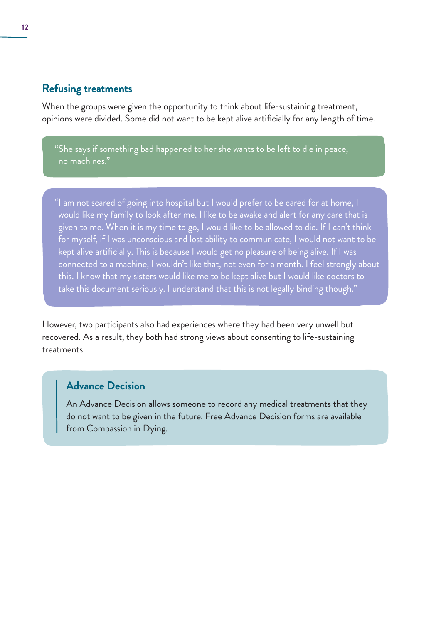#### **Refusing treatments**

When the groups were given the opportunity to think about life-sustaining treatment, opinions were divided. Some did not want to be kept alive artificially for any length of time.

"She says if something bad happened to her she wants to be left to die in peace, no machines."

"I am not scared of going into hospital but I would prefer to be cared for at home, I would like my family to look after me. I like to be awake and alert for any care that is given to me. When it is my time to go, I would like to be allowed to die. If I can't think for myself, if I was unconscious and lost ability to communicate, I would not want to be kept alive artificially. This is because I would get no pleasure of being alive. If I was connected to a machine, I wouldn't like that, not even for a month. I feel strongly about this. I know that my sisters would like me to be kept alive but I would like doctors to take this document seriously. I understand that this is not legally binding though."

However, two participants also had experiences where they had been very unwell but recovered. As a result, they both had strong views about consenting to life-sustaining treatments.

#### **Advance Decision**

An Advance Decision allows someone to record any medical treatments that they do not want to be given in the future. Free Advance Decision forms are available from Compassion in Dying.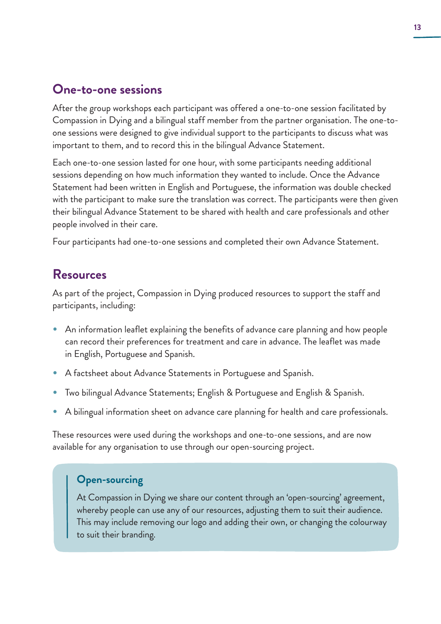# **One-to-one sessions**

After the group workshops each participant was offered a one-to-one session facilitated by Compassion in Dying and a bilingual staff member from the partner organisation. The one-toone sessions were designed to give individual support to the participants to discuss what was important to them, and to record this in the bilingual Advance Statement.

Each one-to-one session lasted for one hour, with some participants needing additional sessions depending on how much information they wanted to include. Once the Advance Statement had been written in English and Portuguese, the information was double checked with the participant to make sure the translation was correct. The participants were then given their bilingual Advance Statement to be shared with health and care professionals and other people involved in their care.

Four participants had one-to-one sessions and completed their own Advance Statement.

## **Resources**

As part of the project, Compassion in Dying produced resources to support the staff and participants, including:

- An information leaflet explaining the benefits of advance care planning and how people can record their preferences for treatment and care in advance. The leaflet was made in English, Portuguese and Spanish.
- <sup>A</sup> factsheet about Advance Statements in Portuguese and Spanish.
- Two bilingual Advance Statements; English & Portuguese and English & Spanish.
- A bilingual information sheet on advance care planning for health and care professionals.

These resources were used during the workshops and one-to-one sessions, and are now available for any organisation to use through our open-sourcing project.

#### **Open-sourcing**

At Compassion in Dying we share our content through an 'open-sourcing' agreement, whereby people can use any of our resources, adjusting them to suit their audience. This may include removing our logo and adding their own, or changing the colourway to suit their branding.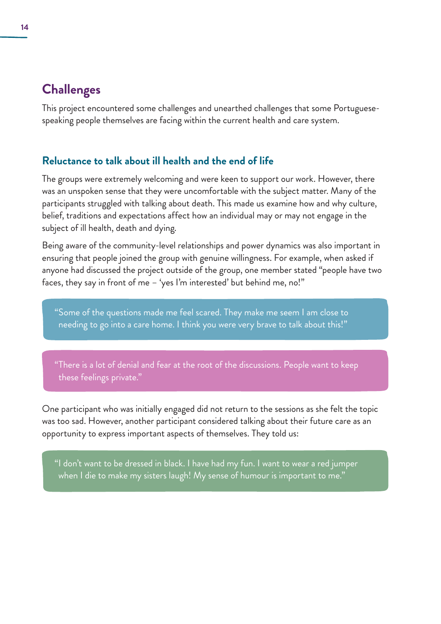# **Challenges**

This project encountered some challenges and unearthed challenges that some Portuguesespeaking people themselves are facing within the current health and care system.

#### **Reluctance to talk about ill health and the end of life**

The groups were extremely welcoming and were keen to support our work. However, there was an unspoken sense that they were uncomfortable with the subject matter. Many of the participants struggled with talking about death. This made us examine how and why culture, belief, traditions and expectations affect how an individual may or may not engage in the subject of ill health, death and dying.

Being aware of the community-level relationships and power dynamics was also important in ensuring that people joined the group with genuine willingness. For example, when asked if anyone had discussed the project outside of the group, one member stated "people have two faces, they say in front of me – 'yes I'm interested' but behind me, no!"

"Some of the questions made me feel scared. They make me seem I am close to needing to go into a care home. I think you were very brave to talk about this!"

"There is a lot of denial and fear at the root of the discussions. People want to keep these feelings private."

One participant who was initially engaged did not return to the sessions as she felt the topic was too sad. However, another participant considered talking about their future care as an opportunity to express important aspects of themselves. They told us:

"I don't want to be dressed in black. I have had my fun. I want to wear a red jumper when I die to make my sisters laugh! My sense of humour is important to me."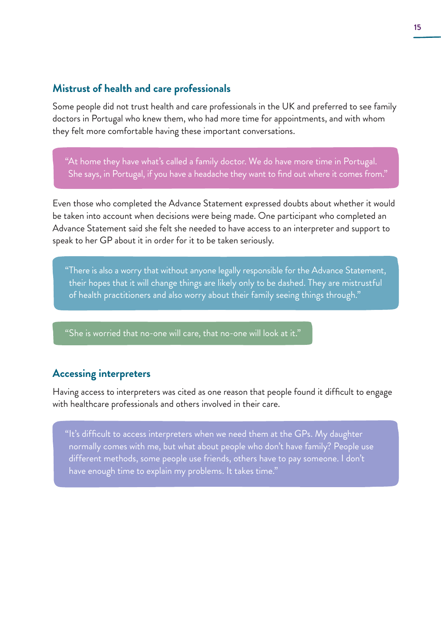#### **Mistrust of health and care professionals**

Some people did not trust health and care professionals in the UK and preferred to see family doctors in Portugal who knew them, who had more time for appointments, and with whom they felt more comfortable having these important conversations.

"At home they have what's called a family doctor. We do have more time in Portugal. She says, in Portugal, if you have a headache they want to find out where it comes from."

Even those who completed the Advance Statement expressed doubts about whether it would be taken into account when decisions were being made. One participant who completed an Advance Statement said she felt she needed to have access to an interpreter and support to speak to her GP about it in order for it to be taken seriously.

"There is also a worry that without anyone legally responsible for the Advance Statement, their hopes that it will change things are likely only to be dashed. They are mistrustful of health practitioners and also worry about their family seeing things through."

"She is worried that no-one will care, that no-one will look at it."

#### **Accessing interpreters**

Having access to interpreters was cited as one reason that people found it difficult to engage with healthcare professionals and others involved in their care.

"It's difficult to access interpreters when we need them at the GPs. My daughter normally comes with me, but what about people who don't have family? People use different methods, some people use friends, others have to pay someone. I don't have enough time to explain my problems. It takes time."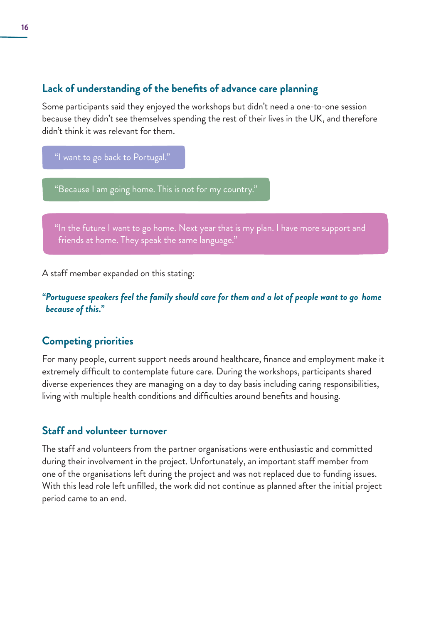#### **Lack of understanding of the benefits of advance care planning**

Some participants said they enjoyed the workshops but didn't need a one-to-one session because they didn't see themselves spending the rest of their lives in the UK, and therefore didn't think it was relevant for them.

"I want to go back to Portugal."

"Because I am going home. This is not for my country."

"In the future I want to go home. Next year that is my plan. I have more support and friends at home. They speak the same language."

A staff member expanded on this stating:

*"Portuguese speakers feel the family should care for them and a lot of people want to go home because of this."*

#### **Competing priorities**

For many people, current support needs around healthcare, finance and employment make it extremely difficult to contemplate future care. During the workshops, participants shared diverse experiences they are managing on a day to day basis including caring responsibilities, living with multiple health conditions and difficulties around benefits and housing.

#### **Staff and volunteer turnover**

The staff and volunteers from the partner organisations were enthusiastic and committed during their involvement in the project. Unfortunately, an important staff member from one of the organisations left during the project and was not replaced due to funding issues. With this lead role left unfilled, the work did not continue as planned after the initial project period came to an end.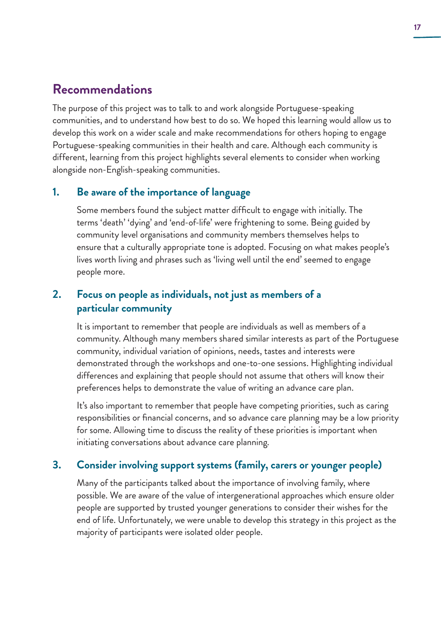# **Recommendations**

The purpose of this project was to talk to and work alongside Portuguese-speaking communities, and to understand how best to do so. We hoped this learning would allow us to develop this work on a wider scale and make recommendations for others hoping to engage Portuguese-speaking communities in their health and care. Although each community is different, learning from this project highlights several elements to consider when working alongside non-English-speaking communities.

#### **1. Be aware of the importance of language**

Some members found the subject matter difficult to engage with initially. The terms 'death' 'dying' and 'end-of-life' were frightening to some. Being guided by community level organisations and community members themselves helps to ensure that a culturally appropriate tone is adopted. Focusing on what makes people's lives worth living and phrases such as 'living well until the end' seemed to engage people more.

#### **2. Focus on people as individuals, not just as members of a particular community**

It is important to remember that people are individuals as well as members of a community. Although many members shared similar interests as part of the Portuguese community, individual variation of opinions, needs, tastes and interests were demonstrated through the workshops and one-to-one sessions. Highlighting individual differences and explaining that people should not assume that others will know their preferences helps to demonstrate the value of writing an advance care plan.

It's also important to remember that people have competing priorities, such as caring responsibilities or financial concerns, and so advance care planning may be a low priority for some. Allowing time to discuss the reality of these priorities is important when initiating conversations about advance care planning.

#### **3. Consider involving support systems (family, carers or younger people)**

Many of the participants talked about the importance of involving family, where possible. We are aware of the value of intergenerational approaches which ensure older people are supported by trusted younger generations to consider their wishes for the end of life. Unfortunately, we were unable to develop this strategy in this project as the majority of participants were isolated older people.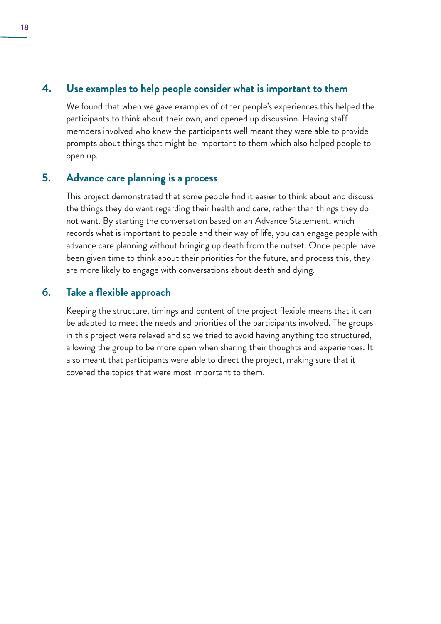#### **4. Use examples to help people consider what is important to them**

We found that when we gave examples of other people's experiences this helped the participants to think about their own, and opened up discussion. Having staff members involved who knew the participants well meant they were able to provide prompts about things that might be important to them which also helped people to open up.

#### **5. Advance care planning is a process**

This project demonstrated that some people find it easier to think about and discuss the things they do want regarding their health and care, rather than things they do not want. By starting the conversation based on an Advance Statement, which records what is important to people and their way of life, you can engage people with advance care planning without bringing up death from the outset. Once people have been given time to think about their priorities for the future, and process this, they are more likely to engage with conversations about death and dying.

#### **6. Take a flexible approach**

Keeping the structure, timings and content of the project flexible means that it can be adapted to meet the needs and priorities of the participants involved. The groups in this project were relaxed and so we tried to avoid having anything too structured, allowing the group to be more open when sharing their thoughts and experiences. It also meant that participants were able to direct the project, making sure that it covered the topics that were most important to them.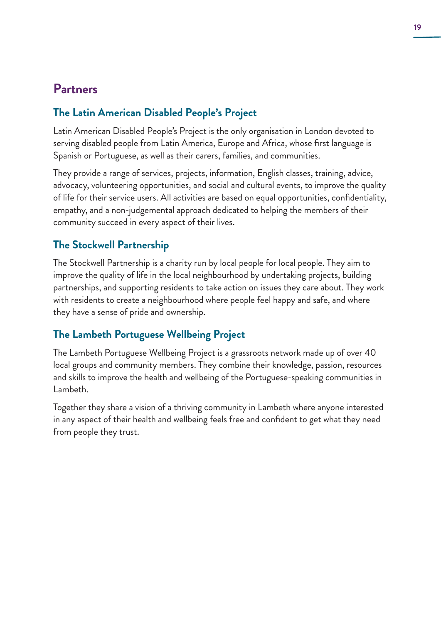# **Partners**

#### **The Latin American Disabled People's Project**

Latin American Disabled People's Project is the only organisation in London devoted to serving disabled people from Latin America, Europe and Africa, whose first language is Spanish or Portuguese, as well as their carers, families, and communities.

They provide a range of services, projects, information, English classes, training, advice, advocacy, volunteering opportunities, and social and cultural events, to improve the quality of life for their service users. All activities are based on equal opportunities, confidentiality, empathy, and a non-judgemental approach dedicated to helping the members of their community succeed in every aspect of their lives.

#### **The Stockwell Partnership**

The Stockwell Partnership is a charity run by local people for local people. They aim to improve the quality of life in the local neighbourhood by undertaking projects, building partnerships, and supporting residents to take action on issues they care about. They work with residents to create a neighbourhood where people feel happy and safe, and where they have a sense of pride and ownership.

#### **The Lambeth Portuguese Wellbeing Project**

The Lambeth Portuguese Wellbeing Project is a grassroots network made up of over 40 local groups and community members. They combine their knowledge, passion, resources and skills to improve the health and wellbeing of the Portuguese-speaking communities in Lambeth.

Together they share a vision of a thriving community in Lambeth where anyone interested in any aspect of their health and wellbeing feels free and confident to get what they need from people they trust.